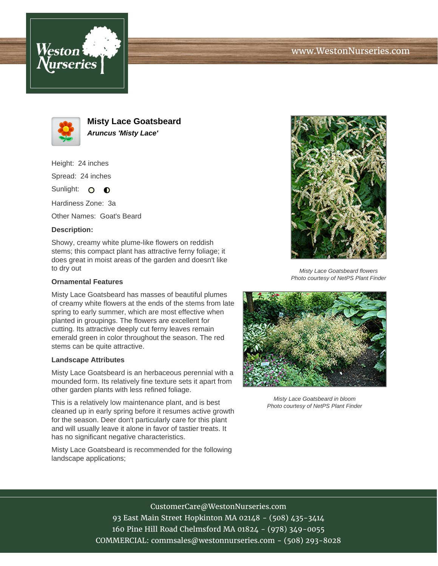





**Misty Lace Goatsbeard Aruncus 'Misty Lace'**

Height: 24 inches

Spread: 24 inches

Sunlight: O **O** 

Hardiness Zone: 3a

Other Names: Goat's Beard

## **Description:**

Showy, creamy white plume-like flowers on reddish stems; this compact plant has attractive ferny foliage; it does great in moist areas of the garden and doesn't like to dry out

## **Ornamental Features**

Misty Lace Goatsbeard has masses of beautiful plumes of creamy white flowers at the ends of the stems from late spring to early summer, which are most effective when planted in groupings. The flowers are excellent for cutting. Its attractive deeply cut ferny leaves remain emerald green in color throughout the season. The red stems can be quite attractive.

#### **Landscape Attributes**

Misty Lace Goatsbeard is an herbaceous perennial with a mounded form. Its relatively fine texture sets it apart from other garden plants with less refined foliage.

This is a relatively low maintenance plant, and is best cleaned up in early spring before it resumes active growth for the season. Deer don't particularly care for this plant and will usually leave it alone in favor of tastier treats. It has no significant negative characteristics.

Misty Lace Goatsbeard is recommended for the following landscape applications;



Misty Lace Goatsbeard flowers Photo courtesy of NetPS Plant Finder



Misty Lace Goatsbeard in bloom Photo courtesy of NetPS Plant Finder

# CustomerCare@WestonNurseries.com

93 East Main Street Hopkinton MA 02148 - (508) 435-3414 160 Pine Hill Road Chelmsford MA 01824 - (978) 349-0055 COMMERCIAL: commsales@westonnurseries.com - (508) 293-8028